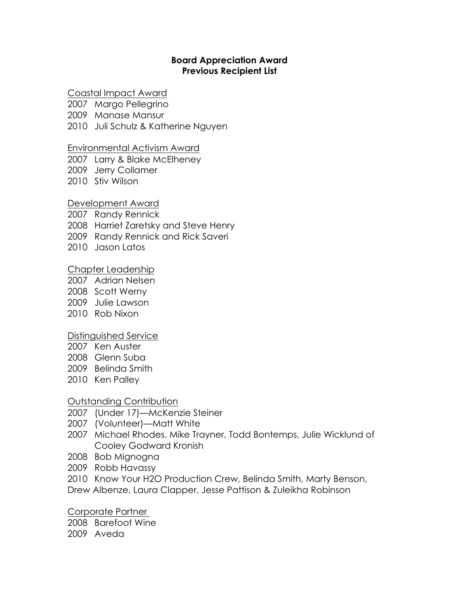#### **Board Appreciation Award Previous Recipient List**

### Coastal Impact Award

2007 Margo Pellegrino

2009 Manase Mansur

2010 Juli Schulz & Katherine Nguyen

#### Environmental Activism Award

2007 Larry & Blake McElheney

2009 Jerry Collamer

2010 Stiv Wilson

#### Development Award

2007 Randy Rennick 2008 Harriet Zaretsky and Steve Henry 2009 Randy Rennick and Rick Saveri 2010 Jason Latos

### Chapter Leadership

2007 Adrian Nelsen

2008 Scott Werny

- 2009 Julie Lawson
- 2010 Rob Nixon

## Distinguished Service

- 2007 Ken Auster
- 2008 Glenn Suba
- 2009 Belinda Smith
- 2010 Ken Palley

## Outstanding Contribution

- 2007 (Under 17)—McKenzie Steiner
- 2007 (Volunteer)—Matt White
- 2007 Michael Rhodes, Mike Trayner, Todd Bontemps, Julie Wicklund of Cooley Godward Kronish
- 2008 Bob Mignogna
- 2009 Robb Havassy
- 2010 Know Your H2O Production Crew, Belinda Smith, Marty Benson,

Drew Albenze, Laura Clapper, Jesse Pattison & Zuleikha Robinson

Corporate Partner

2008 Barefoot Wine 2009 Aveda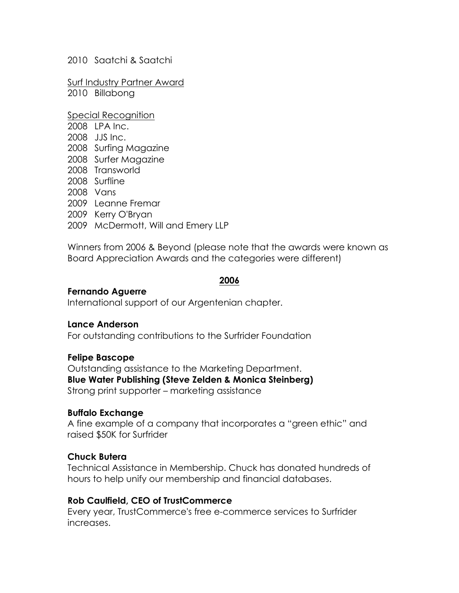2010 Saatchi & Saatchi

Surf Industry Partner Award 2010 Billabong

Special Recognition 2008 LPA Inc. 2008 JJS Inc. 2008 Surfing Magazine 2008 Surfer Magazine 2008 Transworld 2008 Surfline 2008 Vans 2009 Leanne Fremar 2009 Kerry O'Bryan 2009 McDermott, Will and Emery LLP

Winners from 2006 & Beyond (please note that the awards were known as Board Appreciation Awards and the categories were different)

#### **2006**

#### **Fernando Aguerre**

International support of our Argentenian chapter.

#### **Lance Anderson**

For outstanding contributions to the Surfrider Foundation

#### **Felipe Bascope**

Outstanding assistance to the Marketing Department. **Blue Water Publishing (Steve Zelden & Monica Steinberg)** Strong print supporter – marketing assistance

#### **Buffalo Exchange**

A fine example of a company that incorporates a "green ethic" and raised \$50K for Surfrider

#### **Chuck Butera**

Technical Assistance in Membership. Chuck has donated hundreds of hours to help unify our membership and financial databases.

#### **Rob Caulfield, CEO of TrustCommerce**

Every year, TrustCommerce's free e-commerce services to Surfrider increases.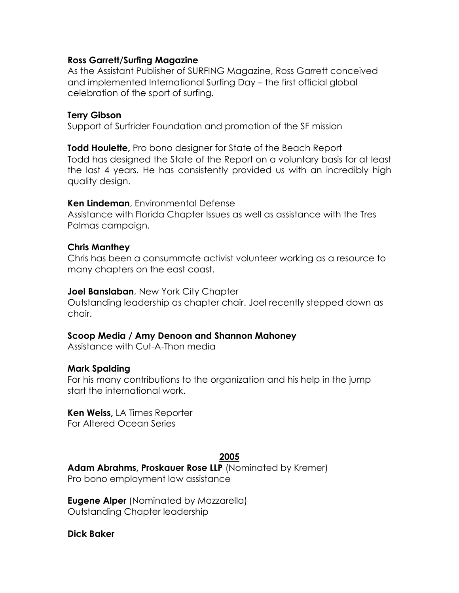### **Ross Garrett/Surfing Magazine**

As the Assistant Publisher of SURFING Magazine, Ross Garrett conceived and implemented International Surfing Day – the first official global celebration of the sport of surfing.

### **Terry Gibson**

Support of Surfrider Foundation and promotion of the SF mission

**Todd Houlette,** Pro bono designer for State of the Beach Report Todd has designed the State of the Report on a voluntary basis for at least the last 4 years. He has consistently provided us with an incredibly high quality design.

#### **Ken Lindeman**, Environmental Defense

Assistance with Florida Chapter Issues as well as assistance with the Tres Palmas campaign.

### **Chris Manthey**

Chris has been a consummate activist volunteer working as a resource to many chapters on the east coast.

#### **Joel Banslaban**, New York City Chapter

Outstanding leadership as chapter chair. Joel recently stepped down as chair.

#### **Scoop Media / Amy Denoon and Shannon Mahoney**

Assistance with Cut-A-Thon media

#### **Mark Spalding**

For his many contributions to the organization and his help in the jump start the international work.

#### **Ken Weiss,** LA Times Reporter

For Altered Ocean Series

#### **2005**

**Adam Abrahms, Proskauer Rose LLP** (Nominated by Kremer) Pro bono employment law assistance

**Eugene Alper** (Nominated by Mazzarella) Outstanding Chapter leadership

#### **Dick Baker**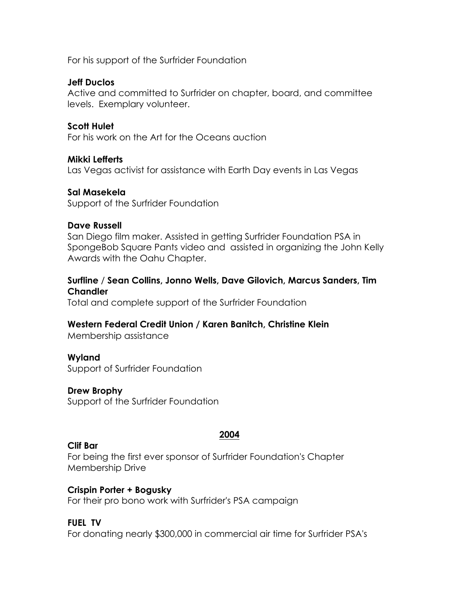For his support of the Surfrider Foundation

## **Jeff Duclos**

Active and committed to Surfrider on chapter, board, and committee levels. Exemplary volunteer.

## **Scott Hulet**

For his work on the Art for the Oceans auction

### **Mikki Lefferts**

Las Vegas activist for assistance with Earth Day events in Las Vegas

### **Sal Masekela**

Support of the Surfrider Foundation

#### **Dave Russell**

San Diego film maker. Assisted in getting Surfrider Foundation PSA in SpongeBob Square Pants video and assisted in organizing the John Kelly Awards with the Oahu Chapter.

## **Surfline** / **Sean Collins, Jonno Wells, Dave Gilovich, Marcus Sanders, Tim Chandler**

Total and complete support of the Surfrider Foundation

## **Western Federal Credit Union / Karen Banitch, Christine Klein**

Membership assistance

## **Wyland**

Support of Surfrider Foundation

## **Drew Brophy**

Support of the Surfrider Foundation

#### **Clif Bar**

**2004**

For being the first ever sponsor of Surfrider Foundation's Chapter Membership Drive

## **Crispin Porter + Bogusky**

For their pro bono work with Surfrider's PSA campaign

## **FUEL TV**

For donating nearly \$300,000 in commercial air time for Surfrider PSA's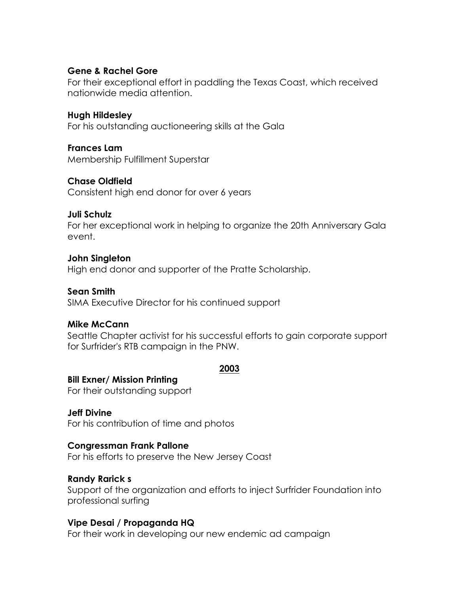## **Gene & Rachel Gore**

For their exceptional effort in paddling the Texas Coast, which received nationwide media attention.

#### **Hugh Hildesley**

For his outstanding auctioneering skills at the Gala

### **Frances Lam**

Membership Fulfillment Superstar

## **Chase Oldfield**

Consistent high end donor for over 6 years

### **Juli Schulz**

For her exceptional work in helping to organize the 20th Anniversary Gala event.

### **John Singleton**

High end donor and supporter of the Pratte Scholarship.

### **Sean Smith**

SIMA Executive Director for his continued support

## **Mike McCann**

Seattle Chapter activist for his successful efforts to gain corporate support for Surfrider's RTB campaign in the PNW.

#### **2003**

#### **Bill Exner/ Mission Printing**

For their outstanding support

## **Jeff Divine**

For his contribution of time and photos

#### **Congressman Frank Pallone**

For his efforts to preserve the New Jersey Coast

## **Randy Rarick s**

Support of the organization and efforts to inject Surfrider Foundation into professional surfing

## **Vipe Desai / Propaganda HQ**

For their work in developing our new endemic ad campaign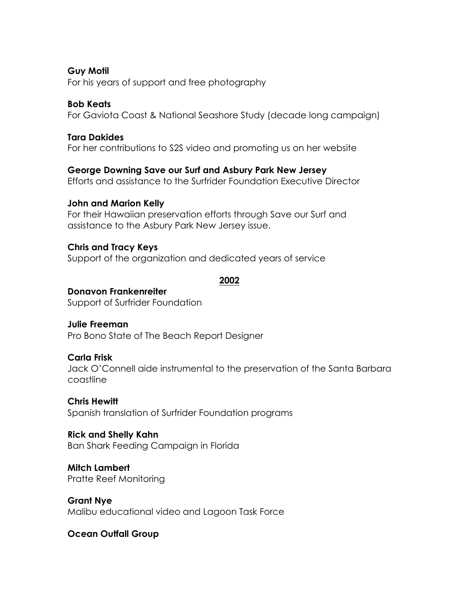## **Guy Motil**

For his years of support and free photography

## **Bob Keats**

For Gaviota Coast & National Seashore Study (decade long campaign)

# **Tara Dakides**

For her contributions to S2S video and promoting us on her website

## **George Downing Save our Surf and Asbury Park New Jersey**

Efforts and assistance to the Surfrider Foundation Executive Director

## **John and Marion Kelly**

For their Hawaiian preservation efforts through Save our Surf and assistance to the Asbury Park New Jersey issue.

## **Chris and Tracy Keys**

Support of the organization and dedicated years of service

### **2002**

# **Donavon Frankenreiter**

Support of Surfrider Foundation

# **Julie Freeman**

Pro Bono State of The Beach Report Designer

# **Carla Frisk**

Jack O'Connell aide instrumental to the preservation of the Santa Barbara coastline

## **Chris Hewitt**

Spanish translation of Surfrider Foundation programs

## **Rick and Shelly Kahn**

Ban Shark Feeding Campaign in Florida

# **Mitch Lambert**

Pratte Reef Monitoring

# **Grant Nye**

Malibu educational video and Lagoon Task Force

# **Ocean Outfall Group**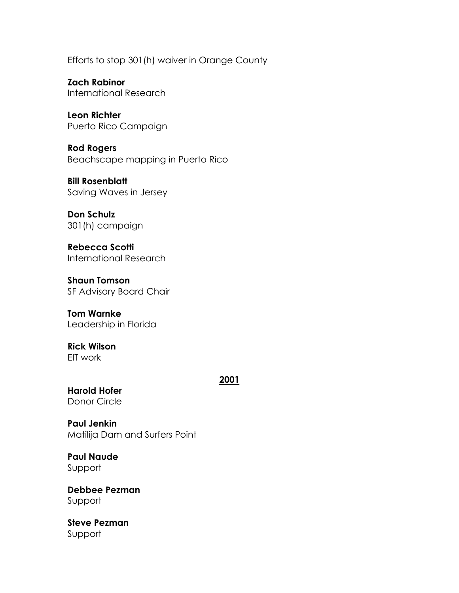Efforts to stop 301(h) waiver in Orange County

**Zach Rabinor** International Research

**Leon Richter** Puerto Rico Campaign

**Rod Rogers** Beachscape mapping in Puerto Rico

**Bill Rosenblatt** Saving Waves in Jersey

**Don Schulz** 301(h) campaign

**Rebecca Scotti** International Research

**Shaun Tomson** SF Advisory Board Chair

**Tom Warnke** Leadership in Florida

**Rick Wilson** EIT work

**2001**

**Harold Hofer** Donor Circle

**Paul Jenkin**

Matilija Dam and Surfers Point

**Paul Naude** Support

**Debbee Pezman** Support

**Steve Pezman** Support